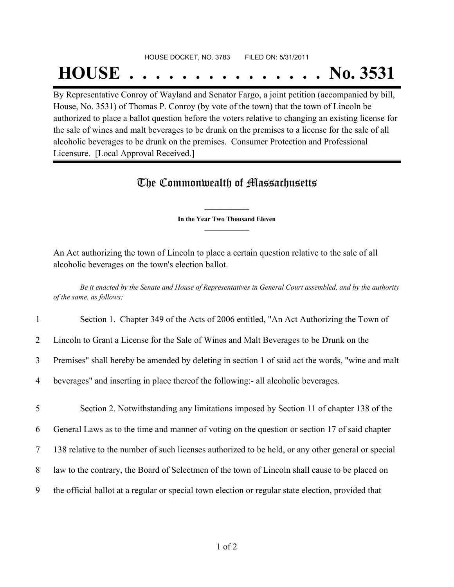## HOUSE DOCKET, NO. 3783 FILED ON: 5/31/2011

## **HOUSE . . . . . . . . . . . . . . . No. 3531**

By Representative Conroy of Wayland and Senator Fargo, a joint petition (accompanied by bill, House, No. 3531) of Thomas P. Conroy (by vote of the town) that the town of Lincoln be authorized to place a ballot question before the voters relative to changing an existing license for the sale of wines and malt beverages to be drunk on the premises to a license for the sale of all alcoholic beverages to be drunk on the premises. Consumer Protection and Professional Licensure. [Local Approval Received.]

## The Commonwealth of Massachusetts

**\_\_\_\_\_\_\_\_\_\_\_\_\_\_\_ In the Year Two Thousand Eleven \_\_\_\_\_\_\_\_\_\_\_\_\_\_\_**

An Act authorizing the town of Lincoln to place a certain question relative to the sale of all alcoholic beverages on the town's election ballot.

Be it enacted by the Senate and House of Representatives in General Court assembled, and by the authority *of the same, as follows:*

| $\mathbf{1}$   | Section 1. Chapter 349 of the Acts of 2006 entitled, "An Act Authorizing the Town of               |
|----------------|----------------------------------------------------------------------------------------------------|
| $\overline{2}$ | Lincoln to Grant a License for the Sale of Wines and Malt Beverages to be Drunk on the             |
| $\overline{3}$ | Premises" shall hereby be amended by deleting in section 1 of said act the words, "wine and malt   |
| 4              | beverages" and inserting in place thereof the following:- all alcoholic beverages.                 |
| 5              | Section 2. Notwithstanding any limitations imposed by Section 11 of chapter 138 of the             |
| 6              | General Laws as to the time and manner of voting on the question or section 17 of said chapter     |
| 7              | 138 relative to the number of such licenses authorized to be held, or any other general or special |
| 8              | law to the contrary, the Board of Selectmen of the town of Lincoln shall cause to be placed on     |
| 9              | the official ballot at a regular or special town election or regular state election, provided that |